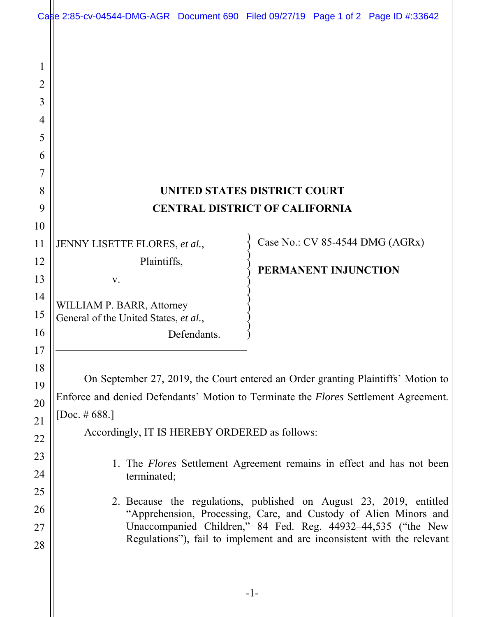|                                 | Case 2:85-cv-04544-DMG-AGR Document 690 Filed 09/27/19 Page 1 of 2 Page ID #:33642                                                     |  |                      |  |                                 |
|---------------------------------|----------------------------------------------------------------------------------------------------------------------------------------|--|----------------------|--|---------------------------------|
| 1<br>2<br>3<br>4<br>5<br>6<br>7 |                                                                                                                                        |  |                      |  |                                 |
| 8                               | UNITED STATES DISTRICT COURT                                                                                                           |  |                      |  |                                 |
| 9                               | <b>CENTRAL DISTRICT OF CALIFORNIA</b>                                                                                                  |  |                      |  |                                 |
| 10                              |                                                                                                                                        |  |                      |  |                                 |
| 11                              | JENNY LISETTE FLORES, et al.,                                                                                                          |  |                      |  | Case No.: CV 85-4544 DMG (AGRx) |
| 12                              | Plaintiffs,                                                                                                                            |  | PERMANENT INJUNCTION |  |                                 |
| 13                              | V.                                                                                                                                     |  |                      |  |                                 |
| 14                              | WILLIAM P. BARR, Attorney                                                                                                              |  |                      |  |                                 |
| 15                              | General of the United States, et al.,                                                                                                  |  |                      |  |                                 |
| 16                              | Defendants.                                                                                                                            |  |                      |  |                                 |
| 17                              |                                                                                                                                        |  |                      |  |                                 |
| 18                              | On September 27, 2019, the Court entered an Order granting Plaintiffs' Motion to                                                       |  |                      |  |                                 |
| 19                              | Enforce and denied Defendants' Motion to Terminate the <i>Flores</i> Settlement Agreement.                                             |  |                      |  |                                 |
| 20<br>21                        | [Doc. # 688.]                                                                                                                          |  |                      |  |                                 |
| 22                              | Accordingly, IT IS HEREBY ORDERED as follows:                                                                                          |  |                      |  |                                 |
| 23                              |                                                                                                                                        |  |                      |  |                                 |
| 24                              | 1. The <i>Flores</i> Settlement Agreement remains in effect and has not been<br>terminated;                                            |  |                      |  |                                 |
| 25                              |                                                                                                                                        |  |                      |  |                                 |
| 26                              | 2. Because the regulations, published on August 23, 2019, entitled<br>"Apprehension, Processing, Care, and Custody of Alien Minors and |  |                      |  |                                 |
| 27                              | Unaccompanied Children," 84 Fed. Reg. 44932–44,535 ("the New                                                                           |  |                      |  |                                 |
| 28                              | Regulations"), fail to implement and are inconsistent with the relevant                                                                |  |                      |  |                                 |
|                                 |                                                                                                                                        |  |                      |  |                                 |